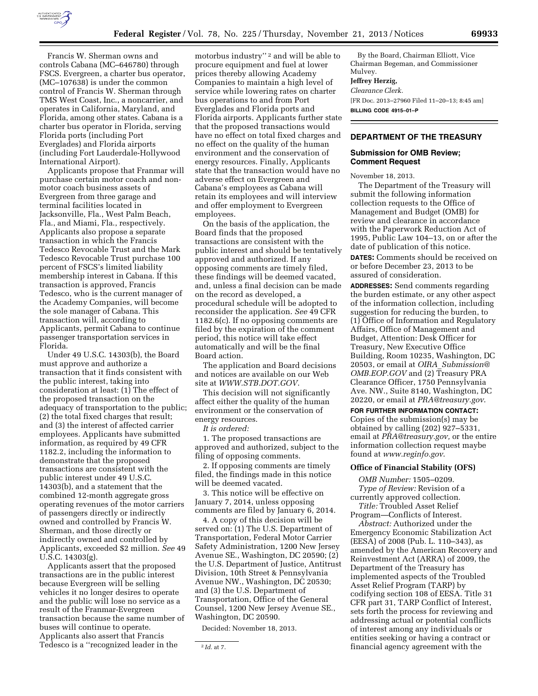

charter bus operator in Florida, serving Florida ports (including Port Everglades) and Florida airports (including Fort Lauderdale-Hollywood International Airport).

Applicants propose that Franmar will purchase certain motor coach and nonmotor coach business assets of Evergreen from three garage and terminal facilities located in Jacksonville, Fla., West Palm Beach, Fla., and Miami, Fla., respectively. Applicants also propose a separate transaction in which the Francis Tedesco Revocable Trust and the Mark Tedesco Revocable Trust purchase 100 percent of FSCS's limited liability membership interest in Cabana. If this transaction is approved, Francis Tedesco, who is the current manager of the Academy Companies, will become the sole manager of Cabana. This transaction will, according to Applicants, permit Cabana to continue passenger transportation services in Florida.

Under 49 U.S.C. 14303(b), the Board must approve and authorize a transaction that it finds consistent with the public interest, taking into consideration at least: (1) The effect of the proposed transaction on the adequacy of transportation to the public; (2) the total fixed charges that result; and (3) the interest of affected carrier employees. Applicants have submitted information, as required by 49 CFR 1182.2, including the information to demonstrate that the proposed transactions are consistent with the public interest under 49 U.S.C. 14303(b), and a statement that the combined 12-month aggregate gross operating revenues of the motor carriers of passengers directly or indirectly owned and controlled by Francis W. Sherman, and those directly or indirectly owned and controlled by Applicants, exceeded \$2 million. *See* 49 U.S.C. 14303(g).

Applicants assert that the proposed transactions are in the public interest because Evergreen will be selling vehicles it no longer desires to operate and the public will lose no service as a result of the Franmar-Evergreen transaction because the same number of buses will continue to operate. Applicants also assert that Francis Tedesco is a ''recognized leader in the

motorbus industry"<sup>2</sup> and will be able to procure equipment and fuel at lower prices thereby allowing Academy Companies to maintain a high level of service while lowering rates on charter bus operations to and from Port Everglades and Florida ports and Florida airports. Applicants further state that the proposed transactions would have no effect on total fixed charges and no effect on the quality of the human environment and the conservation of energy resources. Finally, Applicants state that the transaction would have no adverse effect on Evergreen and Cabana's employees as Cabana will retain its employees and will interview and offer employment to Evergreen employees.

On the basis of the application, the Board finds that the proposed transactions are consistent with the public interest and should be tentatively approved and authorized. If any opposing comments are timely filed, these findings will be deemed vacated, and, unless a final decision can be made on the record as developed, a procedural schedule will be adopted to reconsider the application. *See* 49 CFR 1182.6(c). If no opposing comments are filed by the expiration of the comment period, this notice will take effect automatically and will be the final Board action.

The application and Board decisions and notices are available on our Web site at *[WWW.STB.DOT.GOV](http://WWW.STB.DOT.GOV)*.

This decision will not significantly affect either the quality of the human environment or the conservation of energy resources.

*It is ordered:* 

1. The proposed transactions are approved and authorized, subject to the filing of opposing comments.

2. If opposing comments are timely filed, the findings made in this notice will be deemed vacated.

3. This notice will be effective on January 7, 2014, unless opposing comments are filed by January 6, 2014.

4. A copy of this decision will be served on: (1) The U.S. Department of Transportation, Federal Motor Carrier Safety Administration, 1200 New Jersey Avenue SE., Washington, DC 20590; (2) the U.S. Department of Justice, Antitrust Division, 10th Street & Pennsylvania Avenue NW., Washington, DC 20530; and (3) the U.S. Department of Transportation, Office of the General Counsel, 1200 New Jersey Avenue SE., Washington, DC 20590.

Decided: November 18, 2013.

By the Board, Chairman Elliott, Vice Chairman Begeman, and Commissioner Mulvey.

#### **Jeffrey Herzig,**

*Clearance Clerk.* 

[FR Doc. 2013–27960 Filed 11–20–13; 8:45 am] **BILLING CODE 4915–01–P** 

## **DEPARTMENT OF THE TREASURY**

### **Submission for OMB Review; Comment Request**

November 18, 2013.

The Department of the Treasury will submit the following information collection requests to the Office of Management and Budget (OMB) for review and clearance in accordance with the Paperwork Reduction Act of 1995, Public Law 104–13, on or after the date of publication of this notice.

**DATES:** Comments should be received on or before December 23, 2013 to be assured of consideration.

**ADDRESSES:** Send comments regarding the burden estimate, or any other aspect of the information collection, including suggestion for reducing the burden, to (1) Office of Information and Regulatory Affairs, Office of Management and Budget, Attention: Desk Officer for Treasury, New Executive Office Building, Room 10235, Washington, DC 20503, or email at *OIRA*\_*[Submission@](mailto:OIRA_Submission@OMB.EOP.GOV) [OMB.EOP.GOV](mailto:OIRA_Submission@OMB.EOP.GOV)* and (2) Treasury PRA Clearance Officer, 1750 Pennsylvania Ave. NW., Suite 8140, Washington, DC 20220, or email at *[PRA@treasury.gov](mailto:PRA@treasury.gov)*.

**FOR FURTHER INFORMATION CONTACT:**  Copies of the submission(s) may be obtained by calling (202) 927–5331, email at *[PRA@treasury.gov,](mailto:PRA@treasury.gov)* or the entire information collection request maybe found at *[www.reginfo.gov](http://www.reginfo.gov)*.

#### **Office of Financial Stability (OFS)**

*OMB Number:* 1505–0209. *Type of Review:* Revision of a currently approved collection. *Title:* Troubled Asset Relief

Program—Conflicts of Interest. *Abstract:* Authorized under the

Emergency Economic Stabilization Act (EESA) of 2008 (Pub. L. 110–343), as amended by the American Recovery and Reinvestment Act (ARRA) of 2009, the Department of the Treasury has implemented aspects of the Troubled Asset Relief Program (TARP) by codifying section 108 of EESA. Title 31 CFR part 31, TARP Conflict of Interest, sets forth the process for reviewing and addressing actual or potential conflicts of interest among any individuals or entities seeking or having a contract or financial agency agreement with the

<sup>2</sup> *Id.* at 7.